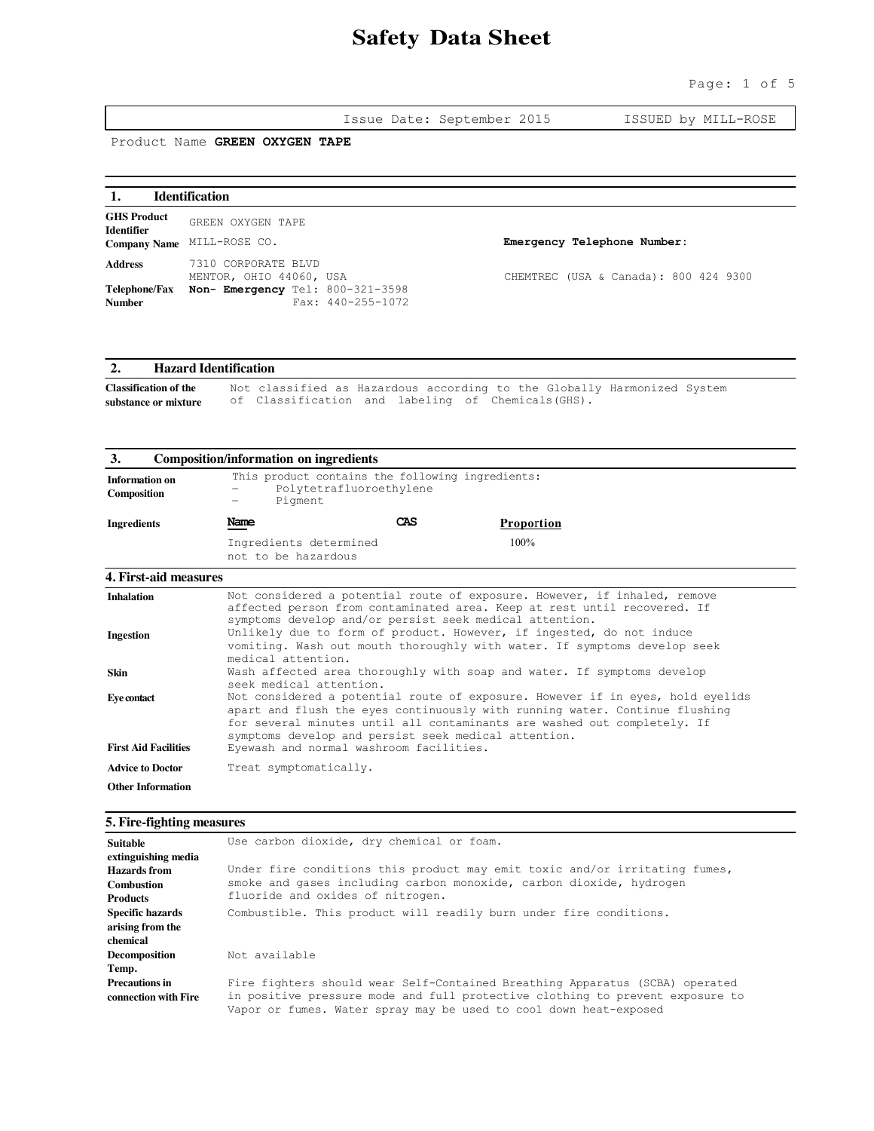Page: 1 of 5

Issue Date: September 2015 ISSUED by MILL-ROSE

Product Name **GREEN OXYGEN TAPE**

| 1.                                      | <b>Identification</b>                          |                   |                                       |
|-----------------------------------------|------------------------------------------------|-------------------|---------------------------------------|
| <b>GHS Product</b><br><b>Identifier</b> | GREEN OXYGEN TAPE                              |                   |                                       |
| <b>Company Name</b>                     | MILL-ROSE CO.                                  |                   | Emergency Telephone Number:           |
| <b>Address</b>                          | 7310 CORPORATE BLVD<br>MENTOR, OHIO 44060, USA |                   | CHEMTREC (USA & Canada): 800 424 9300 |
| Telephone/Fax<br><b>Number</b>          | Non- Emergency Tel: 800-321-3598               | Fax: 440-255-1072 |                                       |

|                              | <b>Hazard Identification</b> |  |  |  |  |                                                                         |  |
|------------------------------|------------------------------|--|--|--|--|-------------------------------------------------------------------------|--|
| <b>Classification of the</b> |                              |  |  |  |  | Not classified as Hazardous according to the Globally Harmonized System |  |

**substance or mixture** of Classification and labeling of Chemicals(GHS).

Eyewash and normal washroom facilities.

Treat symptomatically.

| Composition/information on ingredients<br>3. |                                                                                                                                                                        |                                                                                                                                                                                                                                           |  |  |
|----------------------------------------------|------------------------------------------------------------------------------------------------------------------------------------------------------------------------|-------------------------------------------------------------------------------------------------------------------------------------------------------------------------------------------------------------------------------------------|--|--|
| Information on<br>Composition                | This product contains the following ingredients:<br>Polytetrafluoroethylene<br>Pigment                                                                                 |                                                                                                                                                                                                                                           |  |  |
| <b>Ingredients</b>                           | <b>CAS</b><br>Name                                                                                                                                                     | Proportion                                                                                                                                                                                                                                |  |  |
|                                              | Ingredients determined<br>not to be hazardous                                                                                                                          | $100\%$                                                                                                                                                                                                                                   |  |  |
| 4. First-aid measures                        |                                                                                                                                                                        |                                                                                                                                                                                                                                           |  |  |
| <b>Inhalation</b>                            | symptoms develop and/or persist seek medical attention.                                                                                                                | Not considered a potential route of exposure. However, if inhaled, remove<br>affected person from contaminated area. Keep at rest until recovered. If                                                                                     |  |  |
| <b>Ingestion</b>                             | Unlikely due to form of product. However, if ingested, do not induce<br>vomiting. Wash out mouth thoroughly with water. If symptoms develop seek<br>medical attention. |                                                                                                                                                                                                                                           |  |  |
| <b>Skin</b>                                  | seek medical attention.                                                                                                                                                | Wash affected area thoroughly with soap and water. If symptoms develop                                                                                                                                                                    |  |  |
| Eye contact                                  | symptoms develop and persist seek medical attention.                                                                                                                   | Not considered a potential route of exposure. However if in eyes, hold eyelids<br>apart and flush the eyes continuously with running water. Continue flushing<br>for several minutes until all contaminants are washed out completely. If |  |  |

## **5. Fire-fighting measures**

**First Aid Facilities Advice to Doctor Other Information**

| <b>Suitable</b>                               | Use carbon dioxide, dry chemical or foam.                                                                                                                                                                                          |
|-----------------------------------------------|------------------------------------------------------------------------------------------------------------------------------------------------------------------------------------------------------------------------------------|
| extinguishing media                           |                                                                                                                                                                                                                                    |
| <b>Hazards</b> from                           | Under fire conditions this product may emit toxic and/or irritating fumes,                                                                                                                                                         |
| <b>Combustion</b>                             | smoke and gases including carbon monoxide, carbon dioxide, hydrogen                                                                                                                                                                |
| <b>Products</b>                               | fluoride and oxides of nitrogen.                                                                                                                                                                                                   |
| Specific hazards                              | Combustible. This product will readily burn under fire conditions.                                                                                                                                                                 |
| arising from the                              |                                                                                                                                                                                                                                    |
| chemical                                      |                                                                                                                                                                                                                                    |
| <b>Decomposition</b>                          | Not available                                                                                                                                                                                                                      |
| Temp.                                         |                                                                                                                                                                                                                                    |
| <b>Precautions in</b><br>connection with Fire | Fire fighters should wear Self-Contained Breathing Apparatus (SCBA) operated<br>in positive pressure mode and full protective clothing to prevent exposure to<br>Vapor or fumes. Water spray may be used to cool down heat-exposed |
|                                               |                                                                                                                                                                                                                                    |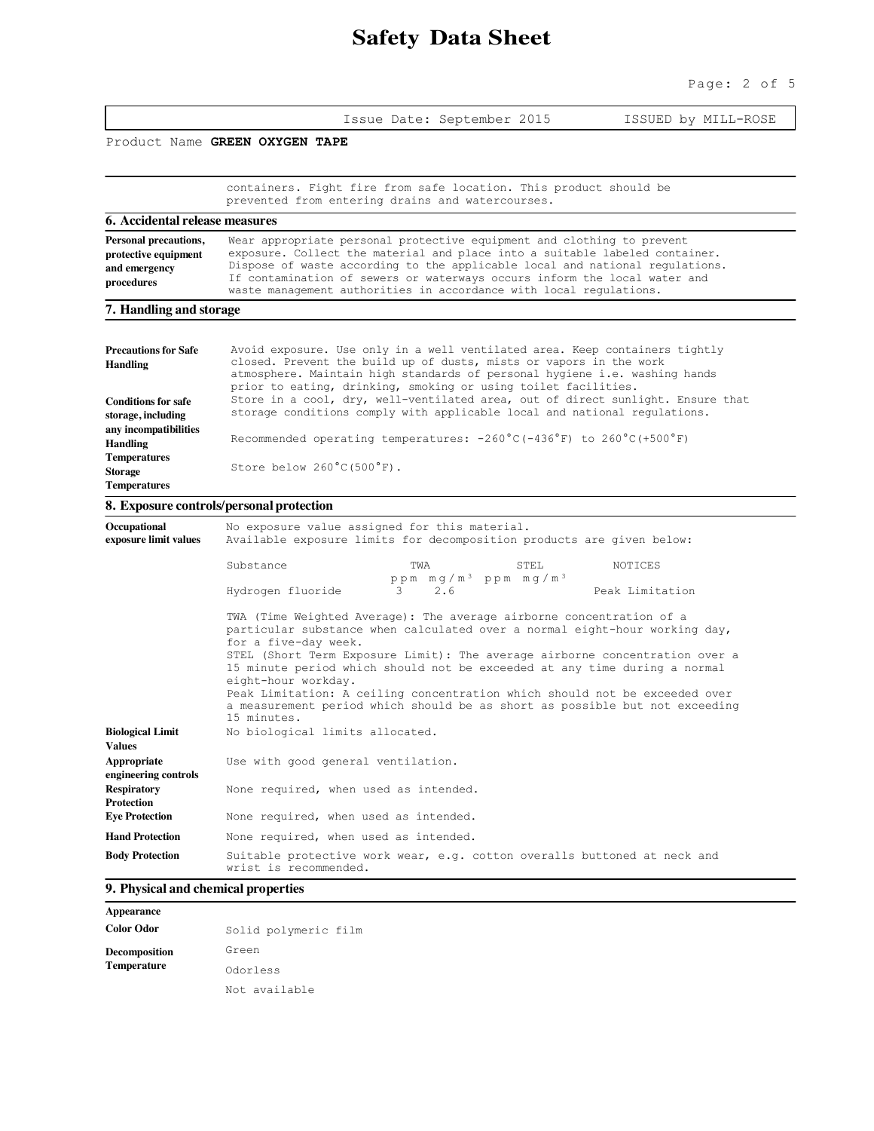# **Safety Data Sheet**

#### Page: 2 of 5

|                                                                              | Issue Date: September 2015<br>ISSUED by MILL-ROSE                                                                                                                                                                                                                                                                                                                                        |  |  |  |  |
|------------------------------------------------------------------------------|------------------------------------------------------------------------------------------------------------------------------------------------------------------------------------------------------------------------------------------------------------------------------------------------------------------------------------------------------------------------------------------|--|--|--|--|
|                                                                              | Product Name GREEN OXYGEN TAPE                                                                                                                                                                                                                                                                                                                                                           |  |  |  |  |
|                                                                              |                                                                                                                                                                                                                                                                                                                                                                                          |  |  |  |  |
|                                                                              | containers. Fight fire from safe location. This product should be<br>prevented from entering drains and watercourses.                                                                                                                                                                                                                                                                    |  |  |  |  |
| <b>6. Accidental release measures</b>                                        |                                                                                                                                                                                                                                                                                                                                                                                          |  |  |  |  |
| Personal precautions,<br>protective equipment<br>and emergency<br>procedures | Wear appropriate personal protective equipment and clothing to prevent<br>exposure. Collect the material and place into a suitable labeled container.<br>Dispose of waste according to the applicable local and national regulations.<br>If contamination of sewers or waterways occurs inform the local water and<br>waste management authorities in accordance with local regulations. |  |  |  |  |
| 7. Handling and storage                                                      |                                                                                                                                                                                                                                                                                                                                                                                          |  |  |  |  |
|                                                                              |                                                                                                                                                                                                                                                                                                                                                                                          |  |  |  |  |
| <b>Precautions for Safe</b><br>Handling                                      | Avoid exposure. Use only in a well ventilated area. Keep containers tightly<br>closed. Prevent the build up of dusts, mists or vapors in the work<br>atmosphere. Maintain high standards of personal hygiene i.e. washing hands<br>prior to eating, drinking, smoking or using toilet facilities.                                                                                        |  |  |  |  |
| <b>Conditions for safe</b>                                                   | Store in a cool, dry, well-ventilated area, out of direct sunlight. Ensure that                                                                                                                                                                                                                                                                                                          |  |  |  |  |
| storage, including                                                           | storage conditions comply with applicable local and national regulations.                                                                                                                                                                                                                                                                                                                |  |  |  |  |
| any incompatibilities                                                        | Recommended operating temperatures: $-260^{\circ}C (-436^{\circ}F)$ to $260^{\circ}C (+500^{\circ}F)$                                                                                                                                                                                                                                                                                    |  |  |  |  |
| Handling<br><b>Temperatures</b>                                              |                                                                                                                                                                                                                                                                                                                                                                                          |  |  |  |  |
| Storage                                                                      | Store below $260^{\circ}$ C(500 $^{\circ}$ F).                                                                                                                                                                                                                                                                                                                                           |  |  |  |  |
| <b>Temperatures</b>                                                          |                                                                                                                                                                                                                                                                                                                                                                                          |  |  |  |  |
|                                                                              | 8. Exposure controls/personal protection                                                                                                                                                                                                                                                                                                                                                 |  |  |  |  |
| Occupational<br>exposure limit values                                        | No exposure value assigned for this material.<br>Available exposure limits for decomposition products are given below:                                                                                                                                                                                                                                                                   |  |  |  |  |
|                                                                              | Substance<br>TWA<br>STEL<br>NOTICES<br>ppm $mq/m^3$ ppm $mq/m^3$                                                                                                                                                                                                                                                                                                                         |  |  |  |  |
|                                                                              | 2.6<br>Hydrogen fluoride<br>3<br>Peak Limitation                                                                                                                                                                                                                                                                                                                                         |  |  |  |  |
|                                                                              | TWA (Time Weighted Average): The average airborne concentration of a<br>particular substance when calculated over a normal eight-hour working day,<br>for a five-day week.                                                                                                                                                                                                               |  |  |  |  |
|                                                                              | STEL (Short Term Exposure Limit): The average airborne concentration over a                                                                                                                                                                                                                                                                                                              |  |  |  |  |
|                                                                              | 15 minute period which should not be exceeded at any time during a normal                                                                                                                                                                                                                                                                                                                |  |  |  |  |
|                                                                              | eight-hour workday.<br>Peak Limitation: A ceiling concentration which should not be exceeded over<br>a measurement period which should be as short as possible but not exceeding<br>15 minutes.                                                                                                                                                                                          |  |  |  |  |
| <b>Biological Limit</b><br>Values                                            | No biological limits allocated.                                                                                                                                                                                                                                                                                                                                                          |  |  |  |  |
| Appropriate<br>engineering controls                                          | Use with good general ventilation.                                                                                                                                                                                                                                                                                                                                                       |  |  |  |  |
| <b>Respiratory</b><br><b>Protection</b>                                      | None required, when used as intended.                                                                                                                                                                                                                                                                                                                                                    |  |  |  |  |
| <b>Eye Protection</b>                                                        | None required, when used as intended.                                                                                                                                                                                                                                                                                                                                                    |  |  |  |  |
| <b>Hand Protection</b>                                                       | None required, when used as intended.                                                                                                                                                                                                                                                                                                                                                    |  |  |  |  |
| <b>Body Protection</b>                                                       | Suitable protective work wear, e.g. cotton overalls buttoned at neck and<br>wrist is recommended.                                                                                                                                                                                                                                                                                        |  |  |  |  |

### **9. Physical and chemical properties**

| Appearance           |                      |
|----------------------|----------------------|
| <b>Color Odor</b>    | Solid polymeric film |
| <b>Decomposition</b> | Green                |
| <b>Temperature</b>   | Odorless             |
|                      | Not available        |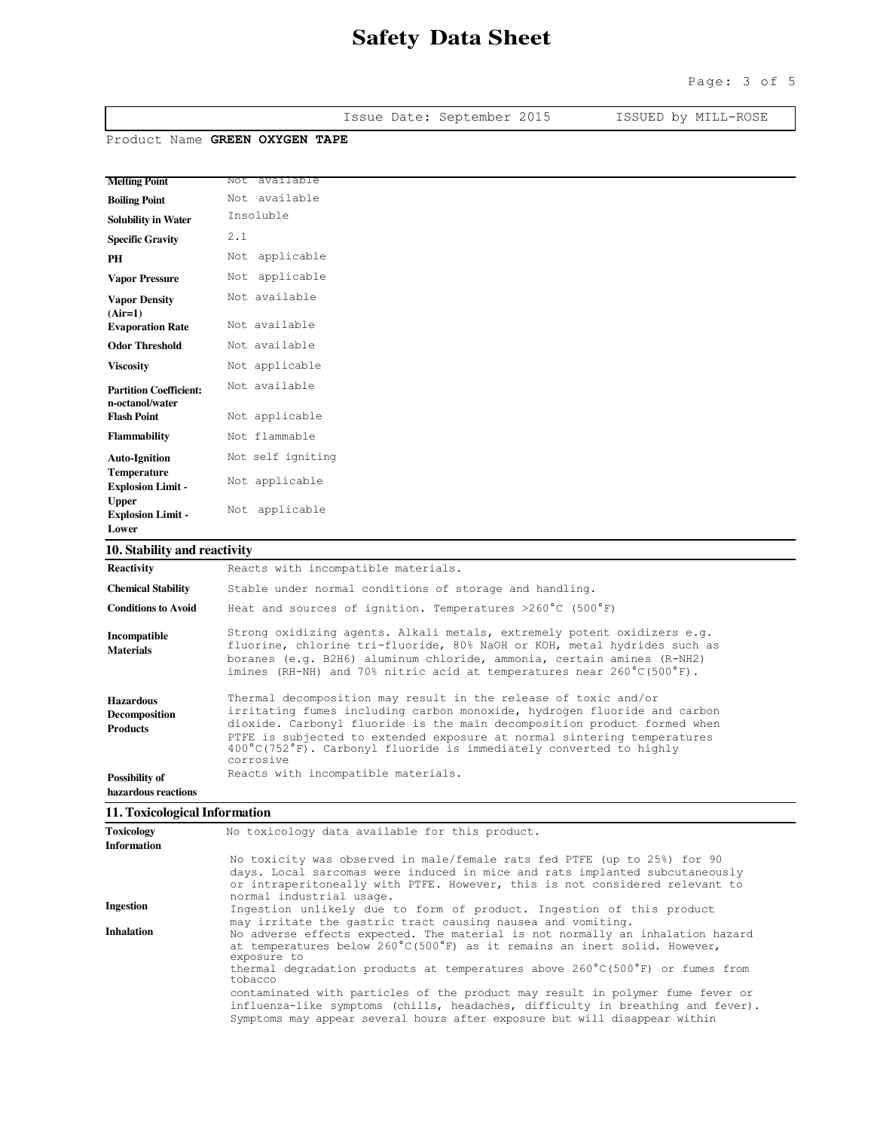# **Safety Data Sheet**

Page: 3 of 5

```
Issue Date: September 2015 ISSUED by MILL-ROSE
```
Product Name **GREEN OXYGEN TAPE**

| <b>Melting Point</b>                              | available<br>Not  |
|---------------------------------------------------|-------------------|
| <b>Boiling Point</b>                              | Not available     |
| <b>Solubility in Water</b>                        | Insoluble         |
| <b>Specific Gravity</b>                           | 2.1               |
| PH                                                | Not applicable    |
| <b>Vapor Pressure</b>                             | Not applicable    |
| <b>Vapor Density</b><br>$(Air=1)$                 | Not available     |
| <b>Evaporation Rate</b>                           | Not available     |
| <b>Odor Threshold</b>                             | Not available     |
| <b>Viscosity</b>                                  | Not applicable    |
| <b>Partition Coefficient:</b><br>n-octanol/water  | Not available     |
| <b>Flash Point</b>                                | Not applicable    |
| <b>Flammability</b>                               | Not flammable     |
| <b>Auto-Ignition</b>                              | Not self igniting |
| <b>Temperature</b><br><b>Explosion Limit -</b>    | Not applicable    |
| <b>Upper</b><br><b>Explosion Limit -</b><br>Lower | Not applicable    |
| 10. Stability and reactivity                      |                   |

| Reactivity                                           | Reacts with incompatible materials.                                                                                                                                                                                                                                                                                                                                                             |
|------------------------------------------------------|-------------------------------------------------------------------------------------------------------------------------------------------------------------------------------------------------------------------------------------------------------------------------------------------------------------------------------------------------------------------------------------------------|
| <b>Chemical Stability</b>                            | Stable under normal conditions of storage and handling.                                                                                                                                                                                                                                                                                                                                         |
| <b>Conditions to Avoid</b>                           | Heat and sources of ignition. Temperatures >260°C (500°F)                                                                                                                                                                                                                                                                                                                                       |
| Incompatible<br><b>Materials</b>                     | Strong oxidizing agents. Alkali metals, extremely potent oxidizers e.g.<br>fluorine, chlorine tri-fluoride, 80% NaOH or KOH, metal hydrides such as<br>boranes (e.g. B2H6) aluminum chloride, ammonia, certain amines (R-NH2)<br>imines (RH-NH) and 70% nitric acid at temperatures near $260^{\circ}C(500^{\circ}F)$ .                                                                         |
| <b>Hazardous</b><br>Decomposition<br><b>Products</b> | Thermal decomposition may result in the release of toxic and/or<br>irritating fumes including carbon monoxide, hydrogen fluoride and carbon<br>dioxide. Carbonyl fluoride is the main decomposition product formed when<br>PTFE is subjected to extended exposure at normal sintering temperatures<br>$400^{\circ}$ C(752°F). Carbonyl fluoride is immediately converted to highly<br>corrosive |
| <b>Possibility of</b>                                | Reacts with incompatible materials.                                                                                                                                                                                                                                                                                                                                                             |
| hazardous reactions                                  |                                                                                                                                                                                                                                                                                                                                                                                                 |

#### **11. ToxicologicalInformation**

| Toxicology         | No toxicology data available for this product.                                                                                                                                                                                                                     |
|--------------------|--------------------------------------------------------------------------------------------------------------------------------------------------------------------------------------------------------------------------------------------------------------------|
| <b>Information</b> |                                                                                                                                                                                                                                                                    |
|                    | No toxicity was observed in male/female rats fed PTFE (up to 25%) for 90<br>days. Local sarcomas were induced in mice and rats implanted subcutaneously<br>or intraperitoneally with PTFE. However, this is not considered relevant to<br>normal industrial usage. |
| <b>Ingestion</b>   | Ingestion unlikely due to form of product. Ingestion of this product<br>may irritate the gastric tract causing nausea and vomiting.                                                                                                                                |
| <b>Inhalation</b>  | No adverse effects expected. The material is not normally an inhalation hazard<br>at temperatures below 260°C(500°F) as it remains an inert solid. However,<br>exposure to<br>thermal degradation products at temperatures above 260°C(500°F) or fumes from        |
|                    | tobacco                                                                                                                                                                                                                                                            |
|                    | contaminated with particles of the product may result in polymer fume fever or                                                                                                                                                                                     |
|                    | influenza-like symptoms (chills, headaches, difficulty in breathing and fever).<br>Symptoms may appear several hours after exposure but will disappear within                                                                                                      |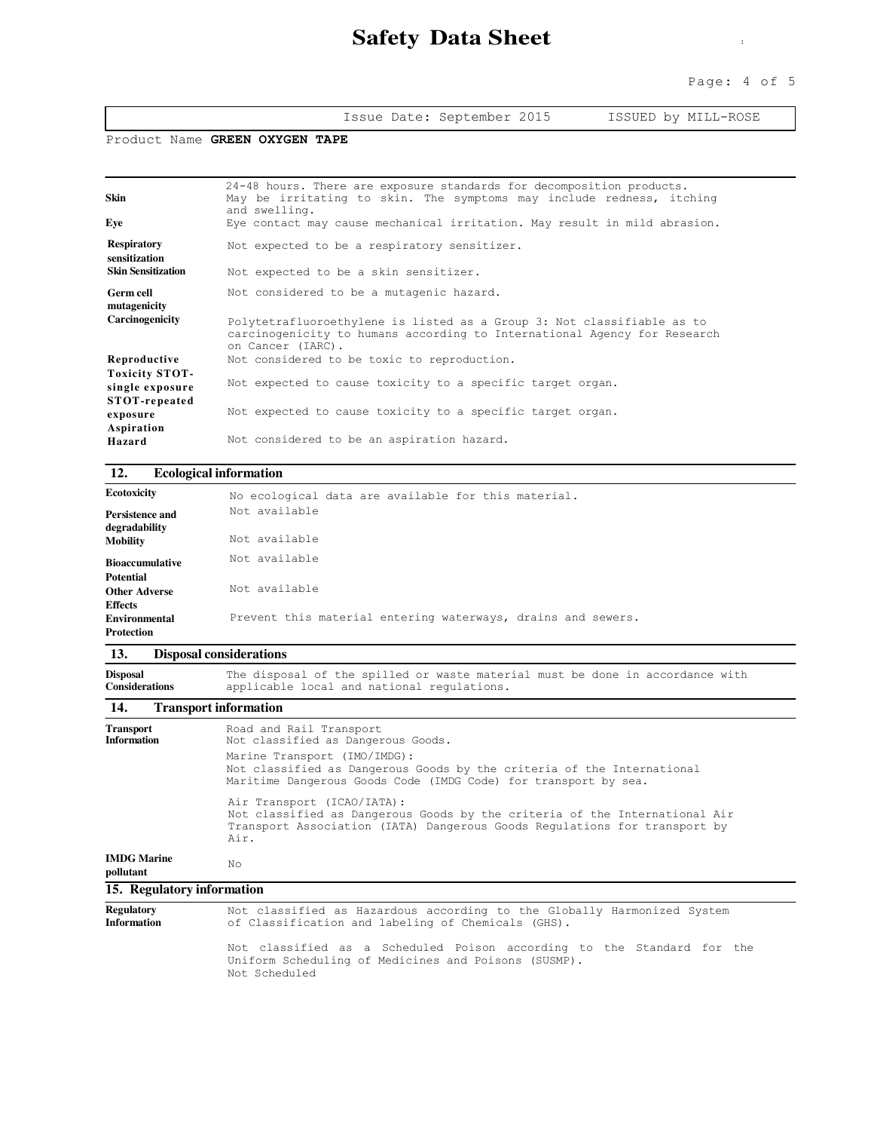Issue Date: September 2015 ISSUED by MILL-ROSE

Product Name **GREEN OXYGEN TAPE**

| Skin                                     | 24-48 hours. There are exposure standards for decomposition products.<br>May be irritating to skin. The symptoms may include redness, itching<br>and swelling.          |
|------------------------------------------|-------------------------------------------------------------------------------------------------------------------------------------------------------------------------|
| Eve                                      | Eye contact may cause mechanical irritation. May result in mild abrasion.                                                                                               |
| <b>Respiratory</b><br>sensitization      | Not expected to be a respiratory sensitizer.                                                                                                                            |
| <b>Skin Sensitization</b>                | Not expected to be a skin sensitizer.                                                                                                                                   |
| Germ cell<br>mutagenicity                | Not considered to be a mutagenic hazard.                                                                                                                                |
| Carcinogenicity                          | Polytetrafluoroethylene is listed as a Group 3: Not classifiable as to<br>carcinogenicity to humans according to International Agency for Research<br>on Cancer (IARC). |
| Reproductive                             | Not considered to be toxic to reproduction.                                                                                                                             |
| <b>Toxicity STOT-</b><br>single exposure | Not expected to cause toxicity to a specific target organ.                                                                                                              |
| STOT-repeated<br>exposure<br>Aspiration  | Not expected to cause toxicity to a specific target organ.                                                                                                              |
| Hazard                                   | Not considered to be an aspiration hazard.                                                                                                                              |

### **12. Ecological information**

| Ecotoxicity                                                | No ecological data are available for this material.          |
|------------------------------------------------------------|--------------------------------------------------------------|
| <b>Persistence and</b><br>degradability<br><b>Mobility</b> | Not available<br>Not available                               |
| <b>Bioaccumulative</b>                                     | Not available                                                |
| <b>Potential</b><br><b>Other Adverse</b><br><b>Effects</b> | Not available                                                |
| <b>Environmental</b><br>Protection                         | Prevent this material entering waterways, drains and sewers. |

#### **13. Disposal considerations**

| <b>Disposal</b>       | The disposal of the spilled or waste material must be done in accordance with |
|-----------------------|-------------------------------------------------------------------------------|
| <b>Considerations</b> | applicable local and national regulations.                                    |

### **14. Transport information**

| <b>Transport</b><br>Information         | Road and Rail Transport<br>Not classified as Dangerous Goods.<br>Marine Transport (IMO/IMDG):                                                                                                 |
|-----------------------------------------|-----------------------------------------------------------------------------------------------------------------------------------------------------------------------------------------------|
|                                         | Not classified as Dangerous Goods by the criteria of the International<br>Maritime Dangerous Goods Code (IMDG Code) for transport by sea.                                                     |
|                                         | Air Transport (ICAO/IATA):<br>Not classified as Dangerous Goods by the criteria of the International Air<br>Transport Association (IATA) Dangerous Goods Regulations for transport by<br>Air. |
| <b>IMDG Marine</b><br>pollutant         | Nο                                                                                                                                                                                            |
| 15. Regulatory information              |                                                                                                                                                                                               |
| <b>Regulatory</b><br><b>Information</b> | Not classified as Hazardous according to the Globally Harmonized System<br>of Classification and labeling of Chemicals (GHS).                                                                 |
|                                         | Not classified as a Scheduled Poison according to the Standard for the<br>Uniform Scheduling of Medicines and Poisons (SUSMP).<br>Not Scheduled                                               |